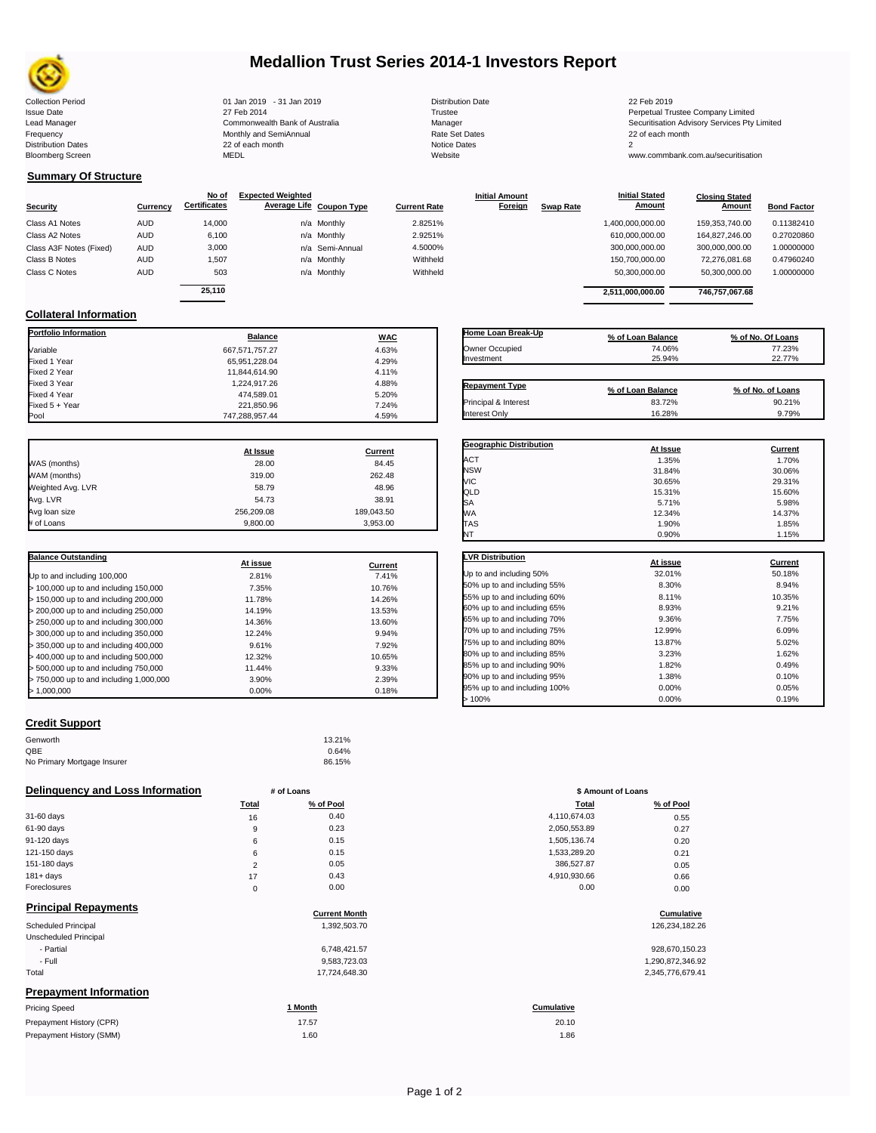

## **Medallion Trust Series 2014-1 Investors Report**

Lead Manager **Commonwealth Bank of Australia** Manager Manager Securitisation Advisory Services Pty Limited

## **Summary Of Structure**

**Collateral Information**

|                         |            | No of               | <b>Expected Weighted</b> |              | <b>Initial Amount</b> |                  | <b>Initial Stated</b> | <b>Closing Stated</b> |                    |
|-------------------------|------------|---------------------|--------------------------|--------------|-----------------------|------------------|-----------------------|-----------------------|--------------------|
| Security                | Currency   | <b>Certificates</b> | Average Life Coupon Type | Current Rate | Foreign               | <b>Swap Rate</b> | <b>Amount</b>         | Amount                | <b>Bond Factor</b> |
| Class A1 Notes          | <b>AUD</b> | 14.000              | n/a Monthly              | 2.8251%      |                       |                  | 1,400,000,000.00      | 159.353.740.00        | 0.11382410         |
| Class A2 Notes          | <b>AUD</b> | 6,100               | n/a Monthly              | 2.9251%      |                       |                  | 610,000,000.00        | 164.827.246.00        | 0.27020860         |
| Class A3F Notes (Fixed) | AUD        | 3,000               | n/a Semi-Annual          | 4.5000%      |                       |                  | 300,000,000.00        | 300,000,000.00        | 1.00000000         |
| Class B Notes           | AUD        | 1.507               | n/a Monthly              | Withheld     |                       |                  | 150,700,000.00        | 72.276.081.68         | 0.47960240         |
| Class C Notes           | AUD        | 503                 | n/a Monthly              | Withheld     |                       |                  | 50,300,000.00         | 50,300,000.00         | 1.00000000         |
|                         |            | 25.110              |                          |              |                       |                  |                       |                       |                    |
|                         |            |                     |                          |              |                       |                  | 2.511.000.000.00      | 746.757.067.68        |                    |

**Portfolio Information Balance WAC** Variable 667,571,757.27 4.63% Fixed 1 Year 65,951,228.04 4.29% Fixed 2 Year 11,844,614.90 4.11% مستقبل المستقبل المستقبل المستقبل المستقبل المستقبل المستقبل المستقبل المستقب<br>1224 917 26 4.88% مستقبل المستقبل المستقبل المستقبل المستقبل المستقبل المستقبل المستقبل المستقبل المستقبل المس Fixed 3 Year 1,224,917.26 4.88% 4.88% 4.88% 4.88% 4.88% 4.88% 4.88% 4.88% 4.88% 4.88% 4.88% 4.88% 4.88% 4.88% <br>Fixed 4 Year 1,200 4.900 4.900 4.900 4.900 4.900 4.900 4.900 4.900 4.900 4.900 4.900 4.900 4.900 4.900 4.900 4

Fixed 5 + Year 24% 7.24% 221,850.96 221,850.96 221,850.96 221,850.96 221,850.96 221,850 221,850 231,<br>الموجود 247,288,957.44 259% 271,288,957.44 259% 271,288,957.44 259% 271,288,957.44 259% 271,288,957.44 259% 27

747,288,957.44

| Home Loan Break-Up    | % of Loan Balance | % of No. Of Loans |
|-----------------------|-------------------|-------------------|
| Owner Occupied        | 74.06%            | 77.23%            |
| Investment            | 25.94%            | 22.77%            |
| <b>Repayment Type</b> |                   |                   |
|                       | % of Loan Balance | % of No. of Loans |
| Principal & Interest  | 83.72%            | 90.21%            |
| Interest Only         | 16.28%            | 9.79%             |

**Geographic Distribution**<br> **ACT ACT ACT ACT ACT ACT ACT ACT ACT ACT ACT ACT ACT ACT ACT ACT ACT ACT ACT ACT ACT ACT ACT ACT ACT ACT ACT ACT** ACT 1.35% 1.70% NSW 31.84% 30.06% VIC 30.65% 29.31%

**Initial Stated** 

|                   | At Issue   | Current    |
|-------------------|------------|------------|
| WAS (months)      | 28.00      | 84.45      |
| WAM (months)      | 319.00     | 262.48     |
| Weighted Avg. LVR | 58.79      | 48.96      |
| Avg. LVR          | 54.73      | 38.91      |
| Avg loan size     | 256.209.08 | 189,043.50 |
| # of Loans        | 9,800.00   | 3,953.00   |

Fixed 474,589.01 5.20%<br>221,850.96 7.24%

| <b>Balance Outstanding</b>              | At issue | Current |
|-----------------------------------------|----------|---------|
| Up to and including 100,000             | 2.81%    | 7.41%   |
| $>$ 100,000 up to and including 150,000 | 7.35%    | 10.76%  |
| $>$ 150,000 up to and including 200,000 | 11.78%   | 14.26%  |
| > 200,000 up to and including 250,000   | 14.19%   | 13.53%  |
| > 250,000 up to and including 300,000   | 14.36%   | 13.60%  |
| > 300,000 up to and including 350,000   | 12.24%   | 9.94%   |
| > 350,000 up to and including 400,000   | 9.61%    | 7.92%   |
| > 400,000 up to and including 500,000   | 12.32%   | 10.65%  |
| > 500,000 up to and including 750,000   | 11.44%   | 9.33%   |
| > 750,000 up to and including 1,000,000 | 3.90%    | 2.39%   |
| > 1.000.000                             | 0.00%    | 0.18%   |

## **Credit Support**

| Genworth                    | 13.21% |
|-----------------------------|--------|
| QBE                         | 0.64%  |
| No Primary Mortgage Insurer | 86.15% |

#### **Delinquency and Loss Information # of Loans**

|              | <b>Total</b> | % of Pool | Total        | % of Pool |
|--------------|--------------|-----------|--------------|-----------|
| 31-60 days   | 16           | 0.40      | 4,110,674.03 | 0.55      |
| 61-90 days   | 9            | 0.23      | 2,050,553.89 | 0.27      |
| 91-120 days  | 6            | 0.15      | 1,505,136.74 | 0.20      |
| 121-150 days | 6            | 0.15      | 1,533,289.20 | 0.21      |
| 151-180 days | $\Omega$     | 0.05      | 386,527.87   | 0.05      |
| $181 + days$ | 17           | 0.43      | 4,910,930.66 | 0.66      |
| Foreclosures | 0            | 0.00      | 0.00         | 0.00      |
| _ _ _ _ _    |              |           |              |           |

#### **Principal Repayments**

| <b>Principal Repayments</b>   | <b>Current Month</b> | Cumulative        |
|-------------------------------|----------------------|-------------------|
| <b>Scheduled Principal</b>    | 1,392,503.70         | 126,234,182.26    |
| Unscheduled Principal         |                      |                   |
| - Partial                     | 6.748.421.57         | 928,670,150.23    |
| - Full                        | 9,583,723.03         | 1,290,872,346.92  |
| Total                         | 17,724,648.30        | 2,345,776,679.41  |
| <b>Prepayment Information</b> |                      |                   |
| <b>Pricing Speed</b>          | 1 Month              | <b>Cumulative</b> |

| Prepayment History (CPR) | 17.57 | 20.10 |
|--------------------------|-------|-------|
| Prepayment History (SMM) | 1.60  | 1.86  |

| QLD                          | 15.31%   | 15.60%  |
|------------------------------|----------|---------|
| SA                           | 5.71%    | 5.98%   |
| <b>WA</b>                    | 12.34%   | 14.37%  |
| <b>TAS</b>                   | 1.90%    | 1.85%   |
| NT                           | 0.90%    | 1.15%   |
| <b>LVR Distribution</b>      |          |         |
|                              | At issue | Current |
| Up to and including 50%      | 32.01%   | 50.18%  |
| 50% up to and including 55%  | 8.30%    | 8.94%   |
| 55% up to and including 60%  | 8.11%    | 10.35%  |
| 60% up to and including 65%  | 8.93%    | 9.21%   |
| 65% up to and including 70%  | 9.36%    | 7.75%   |
| 70% up to and including 75%  | 12.99%   | 6.09%   |
| 75% up to and including 80%  | 13.87%   | 5.02%   |
| 80% up to and including 85%  | 3.23%    | 1.62%   |
| 85% up to and including 90%  | 1.82%    | 0.49%   |
| 90% up to and including 95%  | 1.38%    | 0.10%   |
| 95% up to and including 100% | 0.00%    | 0.05%   |
| >100%                        | 0.00%    | 0.19%   |

| # of Loans     |           | \$ Amount of Loans |           |  |
|----------------|-----------|--------------------|-----------|--|
| Total          | % of Pool | <b>Total</b>       | % of Pool |  |
| 16             | 0.40      | 4,110,674.03       | 0.55      |  |
| 9              | 0.23      | 2,050,553.89       | 0.27      |  |
| 6              | 0.15      | 1,505,136.74       | 0.20      |  |
| 6              | 0.15      | 1,533,289.20       | 0.21      |  |
| $\overline{2}$ | 0.05      | 386,527.87         | 0.05      |  |
| 17             | 0.43      | 4,910,930.66       | 0.66      |  |
| 0              | 0.00      | 0.00               | 0.00      |  |

# **Cumulative Cumulative**

| 928.670.150.23   |
|------------------|
| 1,290,872,346.92 |
| 2.345.776.679.41 |

20.10

Collection Period 01 Jan 2019 - 31 Jan 2019 Distribution Date 22 Feb 2019 Issue Date 2014 27 Feb 2014 27 Feb 2014<br>Isaad Manager 2015 2017 Commonwealth Bank of Australia 2016 Manager 2016 2017 2017 Securitisation Advisory Services Pty Frequency Communication Communication Monthly and SemiAnnual Communication Communication Communication Communication Communication Communication Communication Communication Communication Communication Communication Communi n and the continuum continuum continuum continuum continuum continuum continuum continuum continuum continuum c<br>
22 of each month 2<br>
MEDL Website Website Bloomberg Screen MEDL Website www.commbank.com.au/securitisation